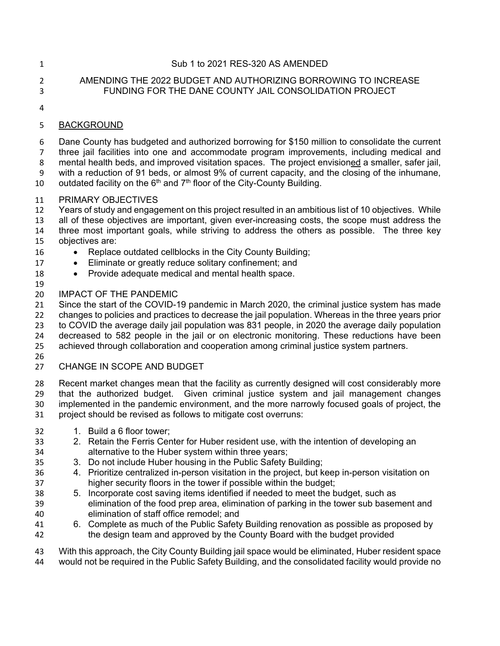#### Sub 1 to 2021 RES-320 AS AMENDED

## AMENDING THE 2022 BUDGET AND AUTHORIZING BORROWING TO INCREASE FUNDING FOR THE DANE COUNTY JAIL CONSOLIDATION PROJECT

## BACKGROUND

 Dane County has budgeted and authorized borrowing for \$150 million to consolidate the current three jail facilities into one and accommodate program improvements, including medical and mental health beds, and improved visitation spaces. The project envisioned a smaller, safer jail, with a reduction of 91 beds, or almost 9% of current capacity, and the closing of the inhumane, 10 outdated facility on the  $6<sup>th</sup>$  and  $7<sup>th</sup>$  floor of the City-County Building.

## PRIMARY OBJECTIVES

 Years of study and engagement on this project resulted in an ambitious list of 10 objectives. While all of these objectives are important, given ever-increasing costs, the scope must address the three most important goals, while striving to address the others as possible. The three key

# objectives are:

- 16 Replace outdated cellblocks in the City County Building;
- 17 Eliminate or greatly reduce solitary confinement; and
- 18 Provide adequate medical and mental health space.
- 

# 20 IMPACT OF THE PANDEMIC<br>21 Since the start of the COVID-1

Since the start of the COVID-19 pandemic in March 2020, the criminal justice system has made changes to policies and practices to decrease the jail population. Whereas in the three years prior to COVID the average daily jail population was 831 people, in 2020 the average daily population decreased to 582 people in the jail or on electronic monitoring. These reductions have been achieved through collaboration and cooperation among criminal justice system partners.

# CHANGE IN SCOPE AND BUDGET

 Recent market changes mean that the facility as currently designed will cost considerably more that the authorized budget. Given criminal justice system and jail management changes implemented in the pandemic environment, and the more narrowly focused goals of project, the project should be revised as follows to mitigate cost overruns:

- 32 1. Build a 6 floor tower:
- 2. Retain the Ferris Center for Huber resident use, with the intention of developing an alternative to the Huber system within three years;
- 3. Do not include Huber housing in the Public Safety Building;
- 4. Prioritize centralized in-person visitation in the project, but keep in-person visitation on higher security floors in the tower if possible within the budget;
- 5. Incorporate cost saving items identified if needed to meet the budget, such as elimination of the food prep area, elimination of parking in the tower sub basement and elimination of staff office remodel; and
- 6. Complete as much of the Public Safety Building renovation as possible as proposed by the design team and approved by the County Board with the budget provided

 With this approach, the City County Building jail space would be eliminated, Huber resident space would not be required in the Public Safety Building, and the consolidated facility would provide no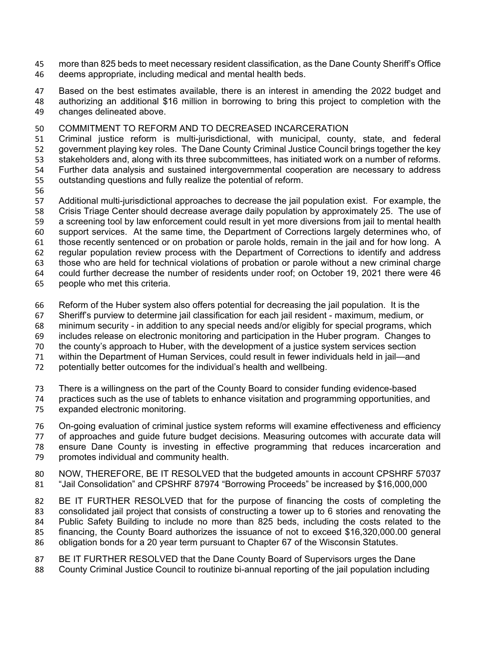more than 825 beds to meet necessary resident classification, as the Dane County Sheriff's Office deems appropriate, including medical and mental health beds.

 Based on the best estimates available, there is an interest in amending the 2022 budget and authorizing an additional \$16 million in borrowing to bring this project to completion with the changes delineated above.

#### COMMITMENT TO REFORM AND TO DECREASED INCARCERATION

 Criminal justice reform is multi-jurisdictional, with municipal, county, state, and federal government playing key roles. The Dane County Criminal Justice Council brings together the key stakeholders and, along with its three subcommittees, has initiated work on a number of reforms. Further data analysis and sustained intergovernmental cooperation are necessary to address outstanding questions and fully realize the potential of reform.

 Additional multi-jurisdictional approaches to decrease the jail population exist. For example, the Crisis Triage Center should decrease average daily population by approximately 25. The use of a screening tool by law enforcement could result in yet more diversions from jail to mental health support services. At the same time, the Department of Corrections largely determines who, of those recently sentenced or on probation or parole holds, remain in the jail and for how long. A regular population review process with the Department of Corrections to identify and address those who are held for technical violations of probation or parole without a new criminal charge could further decrease the number of residents under roof; on October 19, 2021 there were 46 people who met this criteria.

Reform of the Huber system also offers potential for decreasing the jail population. It is the

Sheriff's purview to determine jail classification for each jail resident - maximum, medium, or

minimum security - in addition to any special needs and/or eligibly for special programs, which

includes release on electronic monitoring and participation in the Huber program. Changes to

- the county's approach to Huber, with the development of a justice system services section
- within the Department of Human Services, could result in fewer individuals held in jail—and

potentially better outcomes for the individual's health and wellbeing.

There is a willingness on the part of the County Board to consider funding evidence-based

 practices such as the use of tablets to enhance visitation and programming opportunities, and expanded electronic monitoring.

 On-going evaluation of criminal justice system reforms will examine effectiveness and efficiency of approaches and guide future budget decisions. Measuring outcomes with accurate data will ensure Dane County is investing in effective programming that reduces incarceration and promotes individual and community health.

 NOW, THEREFORE, BE IT RESOLVED that the budgeted amounts in account CPSHRF 57037 "Jail Consolidation" and CPSHRF 87974 "Borrowing Proceeds" be increased by \$16,000,000

 BE IT FURTHER RESOLVED that for the purpose of financing the costs of completing the consolidated jail project that consists of constructing a tower up to 6 stories and renovating the Public Safety Building to include no more than 825 beds, including the costs related to the financing, the County Board authorizes the issuance of not to exceed \$16,320,000.00 general obligation bonds for a 20 year term pursuant to Chapter 67 of the Wisconsin Statutes.

- BE IT FURTHER RESOLVED that the Dane County Board of Supervisors urges the Dane
- 88 County Criminal Justice Council to routinize bi-annual reporting of the jail population including